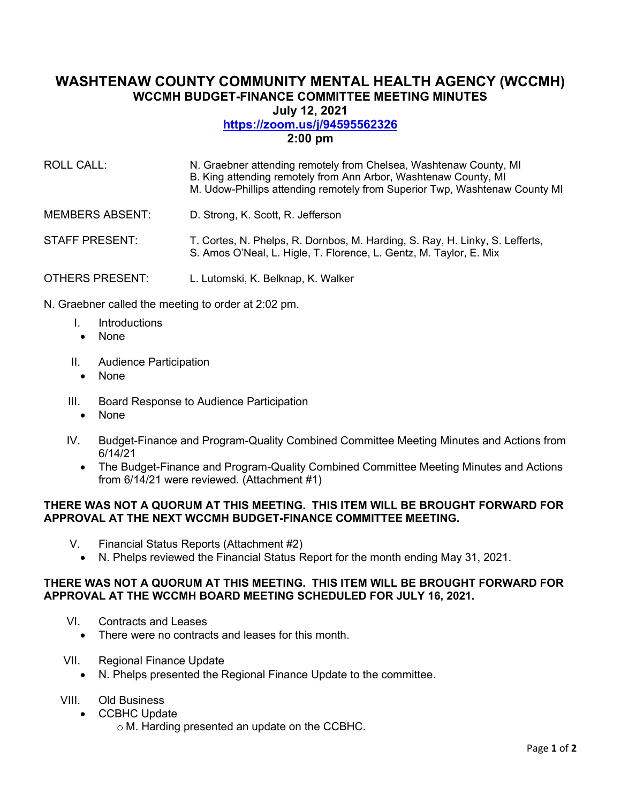# **WASHTENAW COUNTY COMMUNITY MENTAL HEALTH AGENCY (WCCMH) WCCMH BUDGET-FINANCE COMMITTEE MEETING MINUTES**

**July 12, 2021** 

### **<https://zoom.us/j/94595562326>**

**2:00 pm** 

| <b>ROLL CALL:</b>      | N. Graebner attending remotely from Chelsea, Washtenaw County, MI<br>B. King attending remotely from Ann Arbor, Washtenaw County, MI<br>M. Udow-Phillips attending remotely from Superior Twp, Washtenaw County MI |
|------------------------|--------------------------------------------------------------------------------------------------------------------------------------------------------------------------------------------------------------------|
| <b>MEMBERS ABSENT:</b> | D. Strong, K. Scott, R. Jefferson                                                                                                                                                                                  |
| <b>STAFF PRESENT:</b>  | T. Cortes, N. Phelps, R. Dornbos, M. Harding, S. Ray, H. Linky, S. Lefferts,<br>S. Amos O'Neal, L. Higle, T. Florence, L. Gentz, M. Taylor, E. Mix                                                                 |
| <b>OTHERS PRESENT:</b> | L. Lutomski, K. Belknap, K. Walker                                                                                                                                                                                 |

N. Graebner called the meeting to order at 2:02 pm.

- I. Introductions
- None
- II. Audience Participation
	- None
- III. Board Response to Audience Participation
	- None
- IV. Budget-Finance and Program-Quality Combined Committee Meeting Minutes and Actions from 6/14/21
	- The Budget-Finance and Program-Quality Combined Committee Meeting Minutes and Actions from 6/14/21 were reviewed. (Attachment #1)

### **THERE WAS NOT A QUORUM AT THIS MEETING. THIS ITEM WILL BE BROUGHT FORWARD FOR APPROVAL AT THE NEXT WCCMH BUDGET-FINANCE COMMITTEE MEETING.**

- V. Financial Status Reports (Attachment #2)
	- N. Phelps reviewed the Financial Status Report for the month ending May 31, 2021.

### **THERE WAS NOT A QUORUM AT THIS MEETING. THIS ITEM WILL BE BROUGHT FORWARD FOR APPROVAL AT THE WCCMH BOARD MEETING SCHEDULED FOR JULY 16, 2021.**

- VI. Contracts and Leases
	- There were no contracts and leases for this month.
- VII. Regional Finance Update
	- N. Phelps presented the Regional Finance Update to the committee.
- VIII. Old Business
	- CCBHC Update
		- o M. Harding presented an update on the CCBHC.